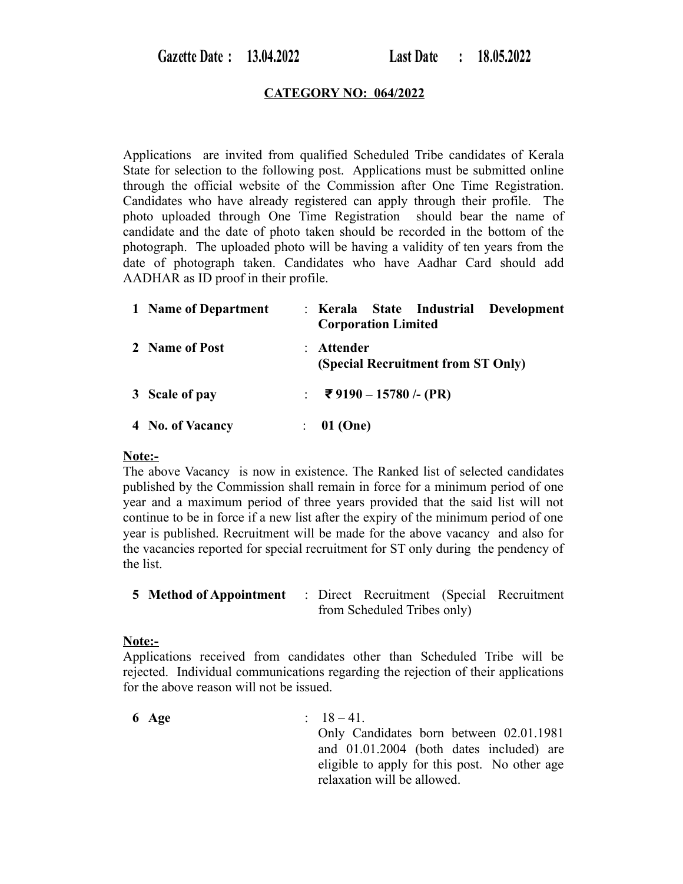### **CATEGORY NO: 064/2022**

Applications are invited from qualified Scheduled Tribe candidates of Kerala State for selection to the following post. Applications must be submitted online through the official website of the Commission after One Time Registration. Candidates who have already registered can apply through their profile. The photo uploaded through One Time Registration should bear the name of candidate and the date of photo taken should be recorded in the bottom of the photograph. The uploaded photo will be having a validity of ten years from the date of photograph taken. Candidates who have Aadhar Card should add AADHAR as ID proof in their profile.

| 1 Name of Department | : Kerala State Industrial Development<br><b>Corporation Limited</b> |  |  |  |  |
|----------------------|---------------------------------------------------------------------|--|--|--|--|
| 2 Name of Post       | Attender<br>(Special Recruitment from ST Only)                      |  |  |  |  |
| 3 Scale of pay       | : ₹9190 – 15780 /- (PR)                                             |  |  |  |  |
| 4 No. of Vacancy     | 01 (One)                                                            |  |  |  |  |

### **Note:-**

The above Vacancy is now in existence. The Ranked list of selected candidates published by the Commission shall remain in force for a minimum period of one year and a maximum period of three years provided that the said list will not continue to be in force if a new list after the expiry of the minimum period of one year is published. Recruitment will be made for the above vacancy and also for the vacancies reported for special recruitment for ST only during the pendency of the list.

| 5 Method of Appointment |                             | : Direct Recruitment (Special Recruitment |  |  |
|-------------------------|-----------------------------|-------------------------------------------|--|--|
|                         | from Scheduled Tribes only) |                                           |  |  |

### **Note:-**

Applications received from candidates other than Scheduled Tribe will be rejected. Individual communications regarding the rejection of their applications for the above reason will not be issued.

**6 Age** : 18 – 41. Only Candidates born between 02.01.1981 and 01.01.2004 (both dates included) are eligible to apply for this post. No other age relaxation will be allowed.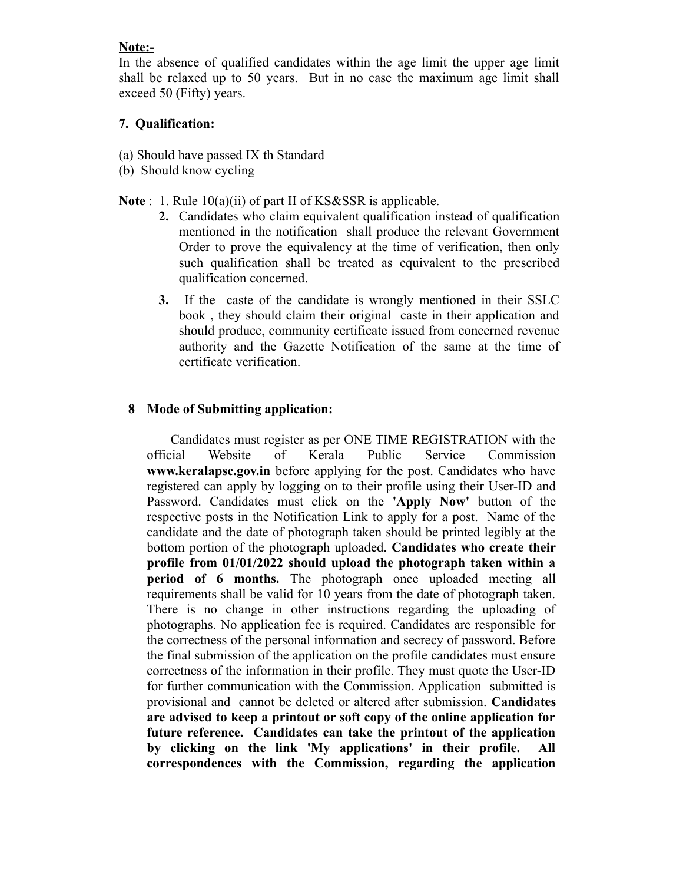## **Note:-**

In the absence of qualified candidates within the age limit the upper age limit shall be relaxed up to 50 years. But in no case the maximum age limit shall exceed 50 (Fifty) years.

# **7. Qualification:**

- (a) Should have passed IX th Standard
- (b) Should know cycling

Note : 1. Rule 10(a)(ii) of part II of KS&SSR is applicable.

- **2.** Candidates who claim equivalent qualification instead of qualification mentioned in the notification shall produce the relevant Government Order to prove the equivalency at the time of verification, then only such qualification shall be treated as equivalent to the prescribed qualification concerned.
- **3.** If the caste of the candidate is wrongly mentioned in their SSLC book , they should claim their original caste in their application and should produce, community certificate issued from concerned revenue authority and the Gazette Notification of the same at the time of certificate verification.

# **8 Mode of Submitting application:**

 Candidates must register as per ONE TIME REGISTRATION with the official Website of Kerala Public Service Commission **www.keralapsc.gov.in** before applying for the post. Candidates who have registered can apply by logging on to their profile using their User-ID and Password. Candidates must click on the **'Apply Now'** button of the respective posts in the Notification Link to apply for a post. Name of the candidate and the date of photograph taken should be printed legibly at the bottom portion of the photograph uploaded. **Candidates who create their profile from 01/01/2022 should upload the photograph taken within a period of 6 months.** The photograph once uploaded meeting all requirements shall be valid for 10 years from the date of photograph taken. There is no change in other instructions regarding the uploading of photographs. No application fee is required. Candidates are responsible for the correctness of the personal information and secrecy of password. Before the final submission of the application on the profile candidates must ensure correctness of the information in their profile. They must quote the User-ID for further communication with the Commission. Application submitted is provisional and cannot be deleted or altered after submission. **Candidates are advised to keep a printout or soft copy of the online application for future reference. Candidates can take the printout of the application by clicking on the link 'My applications' in their profile. All correspondences with the Commission, regarding the application**